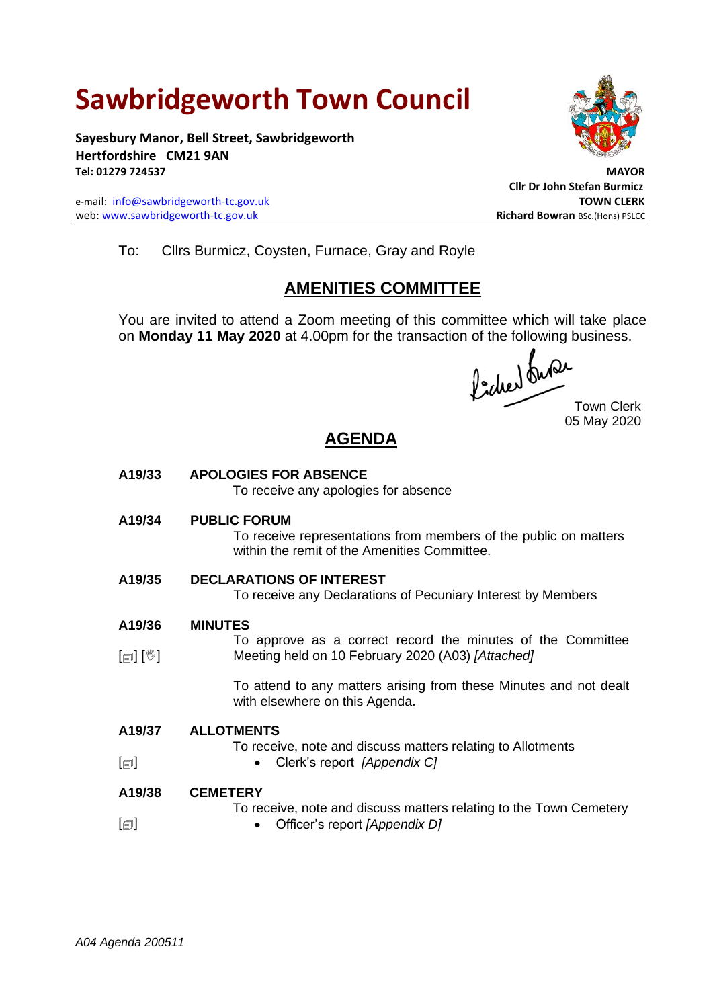## **Sawbridgeworth Town Council**

**Sayesbury Manor, Bell Street, Sawbridgeworth Hertfordshire CM21 9AN Tel: 01279 724537 MAYOR**

e-mail: [info@sawbridgeworth-tc.gov.uk](mailto:info@sawbridgeworth-tc.gov.uk) **TOWN CLERK**<br>
web: www.sawbridgeworth-tc.gov.uk **TOWN CLERK**<br>
Richard Bowran Bsc.(Hons) PSLCC web: www.sawbridgeworth-tc.gov.uk



**Cllr Dr John Stefan Burmicz**

To: Cllrs Burmicz, Coysten, Furnace, Gray and Royle

## **AMENITIES COMMITTEE**

You are invited to attend a Zoom meeting of this committee which will take place on **Monday 11 May 2020** at 4.00pm for the transaction of the following business.

Town Clerk 05 May 2020

## **AGENDA**

| A19/33                     | <b>APOLOGIES FOR ABSENCE</b><br>To receive any apologies for absence                                                                    |
|----------------------------|-----------------------------------------------------------------------------------------------------------------------------------------|
| A19/34                     | <b>PUBLIC FORUM</b><br>To receive representations from members of the public on matters<br>within the remit of the Amenities Committee. |
| A19/35                     | <b>DECLARATIONS OF INTEREST</b><br>To receive any Declarations of Pecuniary Interest by Members                                         |
| A19/36                     | <b>MINUTES</b>                                                                                                                          |
| $\mathbb{D}[\mathbb{D}^1]$ | To approve as a correct record the minutes of the Committee<br>Meeting held on 10 February 2020 (A03) [Attached]                        |
|                            | To attend to any matters arising from these Minutes and not dealt<br>with elsewhere on this Agenda.                                     |
| A19/37                     | <b>ALLOTMENTS</b><br>To receive, note and discuss matters relating to Allotments<br>Clerk's report [Appendix C]                         |
| $[\blacksquare]$           |                                                                                                                                         |
| A19/38                     | <b>CEMETERY</b>                                                                                                                         |
| $\lceil$                   | To receive, note and discuss matters relating to the Town Cemetery<br>Officer's report [Appendix D]                                     |